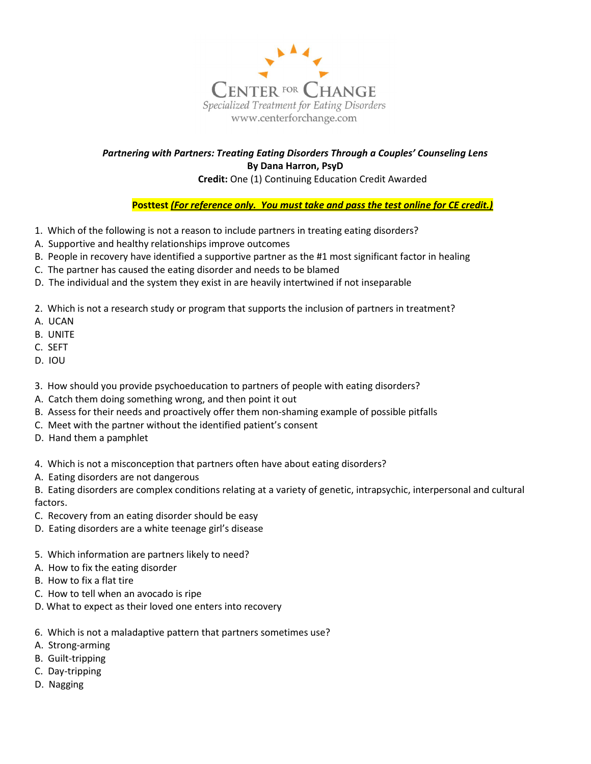

## Partnering with Partners: Treating Eating Disorders Through a Couples' Counseling Lens By Dana Harron, PsyD

Credit: One (1) Continuing Education Credit Awarded

Posttest (For reference only. You must take and pass the test online for CE credit.)

- 1. Which of the following is not a reason to include partners in treating eating disorders?
- A. Supportive and healthy relationships improve outcomes
- B. People in recovery have identified a supportive partner as the #1 most significant factor in healing
- C. The partner has caused the eating disorder and needs to be blamed
- D. The individual and the system they exist in are heavily intertwined if not inseparable
- 2. Which is not a research study or program that supports the inclusion of partners in treatment?
- A. UCAN
- B. UNITE
- C. SEFT
- D. IOU
- 3. How should you provide psychoeducation to partners of people with eating disorders?
- A. Catch them doing something wrong, and then point it out
- B. Assess for their needs and proactively offer them non-shaming example of possible pitfalls
- C. Meet with the partner without the identified patient's consent
- D. Hand them a pamphlet
- 4. Which is not a misconception that partners often have about eating disorders?
- A. Eating disorders are not dangerous

B. Eating disorders are complex conditions relating at a variety of genetic, intrapsychic, interpersonal and cultural factors.

- C. Recovery from an eating disorder should be easy
- D. Eating disorders are a white teenage girl's disease
- 5. Which information are partners likely to need?
- A. How to fix the eating disorder
- B. How to fix a flat tire
- C. How to tell when an avocado is ripe
- D. What to expect as their loved one enters into recovery
- 6. Which is not a maladaptive pattern that partners sometimes use?
- A. Strong-arming
- B. Guilt-tripping
- C. Day-tripping
- D. Nagging